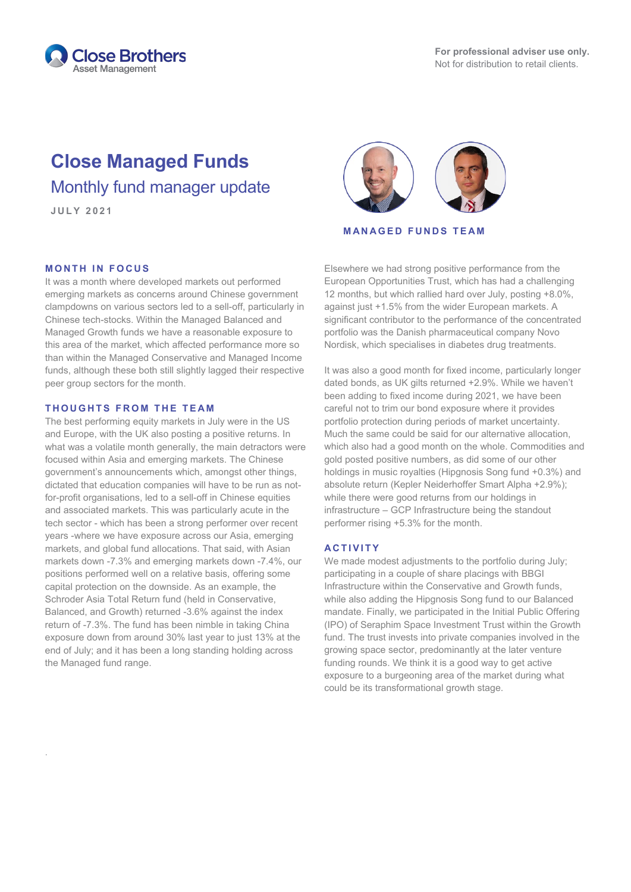

## **Close Managed Funds** Monthly fund manager update

.

# **J U L Y 2021**

**MANAGED FUNDS TEAM**

#### **MONTH IN FOCUS**

It was a month where developed markets out performed emerging markets as concerns around Chinese government clampdowns on various sectors led to a sell-off, particularly in Chinese tech-stocks. Within the Managed Balanced and Managed Growth funds we have a reasonable exposure to this area of the market, which affected performance more so than within the Managed Conservative and Managed Income funds, although these both still slightly lagged their respective peer group sectors for the month.

#### **THOUGHTS FROM THE TE AM**

The best performing equity markets in July were in the US and Europe, with the UK also posting a positive returns. In what was a volatile month generally, the main detractors were focused within Asia and emerging markets. The Chinese government's announcements which, amongst other things, dictated that education companies will have to be run as notfor-profit organisations, led to a sell-off in Chinese equities and associated markets. This was particularly acute in the tech sector - which has been a strong performer over recent years -where we have exposure across our Asia, emerging markets, and global fund allocations. That said, with Asian markets down -7.3% and emerging markets down -7.4%, our positions performed well on a relative basis, offering some capital protection on the downside. As an example, the Schroder Asia Total Return fund (held in Conservative, Balanced, and Growth) returned -3.6% against the index return of -7.3%. The fund has been nimble in taking China exposure down from around 30% last year to just 13% at the end of July; and it has been a long standing holding across the Managed fund range.

Elsewhere we had strong positive performance from the European Opportunities Trust, which has had a challenging 12 months, but which rallied hard over July, posting +8.0%, against just +1.5% from the wider European markets. A significant contributor to the performance of the concentrated portfolio was the Danish pharmaceutical company Novo Nordisk, which specialises in diabetes drug treatments.

It was also a good month for fixed income, particularly longer dated bonds, as UK gilts returned +2.9%. While we haven't been adding to fixed income during 2021, we have been careful not to trim our bond exposure where it provides portfolio protection during periods of market uncertainty. Much the same could be said for our alternative allocation, which also had a good month on the whole. Commodities and gold posted positive numbers, as did some of our other holdings in music royalties (Hipgnosis Song fund +0.3%) and absolute return (Kepler Neiderhoffer Smart Alpha +2.9%); while there were good returns from our holdings in infrastructure – GCP Infrastructure being the standout performer rising +5.3% for the month.

### **ACTIVITY**

We made modest adjustments to the portfolio during July; participating in a couple of share placings with BBGI Infrastructure within the Conservative and Growth funds, while also adding the Hipgnosis Song fund to our Balanced mandate. Finally, we participated in the Initial Public Offering (IPO) of Seraphim Space Investment Trust within the Growth fund. The trust invests into private companies involved in the growing space sector, predominantly at the later venture funding rounds. We think it is a good way to get active exposure to a burgeoning area of the market during what could be its transformational growth stage.